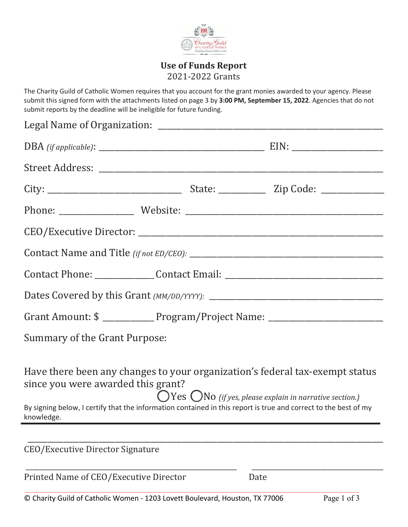

## **Use of Funds Report**  2021-2022 Grants

The Charity Guild of Catholic Women requires that you account for the grant monies awarded to your agency. Please submit this signed form with the attachments listed on page 3 by **3:00 PM, September 15, 2022**. Agencies that do not submit reports by the deadline will be ineligible for future funding.

|                                      | Contact Phone: _______________Contact Email: ___________________________________                                                                                                                                                                                 |
|--------------------------------------|------------------------------------------------------------------------------------------------------------------------------------------------------------------------------------------------------------------------------------------------------------------|
|                                      |                                                                                                                                                                                                                                                                  |
|                                      | Grant Amount: \$ _____________Program/Project Name: _____________________________                                                                                                                                                                                |
|                                      |                                                                                                                                                                                                                                                                  |
|                                      | Have there been any changes to your organization's federal tax-exempt status<br>$OY$ es $O$ NO (if yes, please explain in narrative section.)<br>By signing below, I certify that the information contained in this report is true and correct to the best of my |
| <b>Summary of the Grant Purpose:</b> | since you were awarded this grant?                                                                                                                                                                                                                               |

\_\_\_\_\_\_\_\_\_\_\_\_\_\_\_\_\_\_\_\_\_\_\_\_\_\_\_\_\_\_\_\_\_\_\_\_\_\_\_\_\_\_\_\_\_\_\_\_\_\_\_\_\_\_\_\_\_\_\_\_\_ \_\_\_\_\_\_\_\_\_\_\_\_\_\_\_\_\_\_\_\_\_\_\_\_\_\_\_\_\_\_\_\_\_\_\_\_\_\_

\_\_\_\_\_\_\_\_\_\_\_\_\_\_\_\_\_\_\_\_\_\_\_\_\_\_\_\_\_\_\_\_\_\_\_\_\_\_\_\_\_\_\_\_\_\_\_\_\_\_\_\_\_\_\_\_\_\_\_\_\_\_\_\_\_\_\_\_\_\_\_\_\_\_\_\_\_\_\_\_\_\_\_\_\_\_\_\_\_\_\_\_\_\_\_\_\_\_\_\_\_\_\_\_\_\_\_\_\_\_\_\_\_\_\_\_\_\_\_\_\_\_\_\_\_\_\_\_\_\_\_\_\_\_\_\_\_\_\_\_\_\_\_\_\_\_\_\_\_\_\_\_\_\_\_

CEO/Executive Director Signature

Printed Name of CEO/Executive Director Date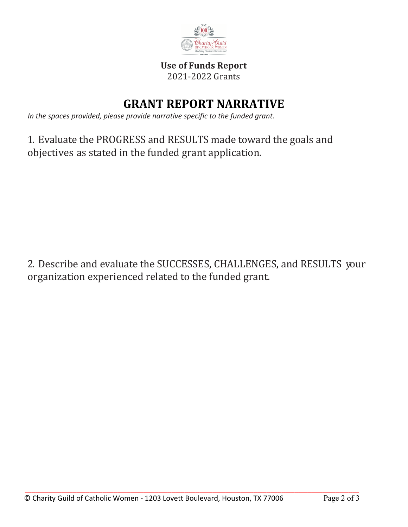

## **Use of Funds Report**  2021-2022 Grants

## **GRANT REPORT NARRATIVE**

*In the spaces provided, please provide narrative specific to the funded grant.*

1. Evaluate the PROGRESS and RESULTS made toward the goals and objectives as stated in the funded grant application.

2. Describe and evaluate the SUCCESSES, CHALLENGES, and RESULTS your organization experienced related to the funded grant.

\_\_\_\_\_\_\_\_\_\_\_\_\_\_\_\_\_\_\_\_\_\_\_\_\_\_\_\_\_\_\_\_\_\_\_\_\_\_\_\_\_\_\_\_\_\_\_\_\_\_\_\_\_\_\_\_\_\_\_\_\_\_\_\_\_\_\_\_\_\_\_\_\_\_\_\_\_\_\_\_\_\_\_\_\_\_\_\_\_\_\_\_\_\_\_\_\_\_\_\_\_\_\_\_\_\_\_\_\_\_\_\_\_\_\_\_\_\_\_\_\_\_\_\_\_\_\_\_\_\_\_\_\_\_\_\_\_\_\_\_\_\_\_\_\_\_\_\_\_\_\_\_\_\_\_